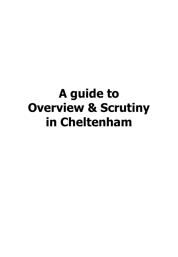# **A guide to Overview & Scrutiny in Cheltenham**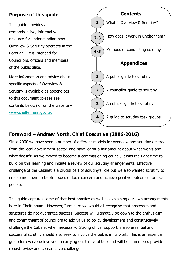## **Purpose of this guide**

This guide provides a comprehensive, informative resource for understanding how Overview & Scrutiny operates in the Borough  $-$  it is intended for Councillors, officers and members of the public alike.

More information and advice about specific aspects of Overview & Scrutiny is available as appendices to this document (please see contents below) or on the website – [www.cheltenham.gov.uk](http://www.cheltenham.gov.uk/)



## **Foreword – Andrew North, Chief Executive (2006-2016)**

Since 2000 we have seen a number of different models for overview and scrutiny emerge from the local government sector, and have learnt a fair amount about what works and what doesn't. As we moved to become a commissioning council, it was the right time to build on this learning and initiate a review of our scrutiny arrangements. Effective challenge of the Cabinet is a crucial part of scrutiny's role but we also wanted scrutiny to enable members to tackle issues of local concern and achieve positive outcomes for local people.

This guide captures some of that best practice as well as explaining our own arrangements here in Cheltenham. However, I am sure we would all recognise that processes and structures do not guarantee success. Success will ultimately be down to the enthusiasm and commitment of councillors to add value to policy development and constructively challenge the Cabinet when necessary. Strong officer support is also essential and successful scrutiny should also seek to involve the public in its work. This is an essential guide for everyone involved in carrying out this vital task and will help members provide robust review and constructive challenge."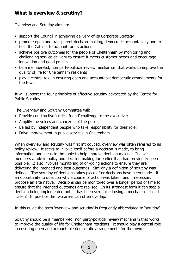## **What is overview & scrutiny?**

Overview and Scrutiny aims to:

- support the Council in achieving delivery of its Corporate Strategy
- promote open and transparent decision-making, democratic accountability and to hold the Cabinet to account for its actions
- achieve positive outcomes for the people of Cheltenham by monitoring and challenging service delivery to ensure it meets customer needs and encourage innovation and good practice
- be a member-led, non party-political review mechanism that works to improve the quality of life for Cheltenham residents
- play a central role in ensuring open and accountable democratic arrangements for the town

It will support the four principles of effective scrutiny advocated by the Centre for Public Scrutiny.

The Overview and Scrutiny Committee will:

- Provide constructive 'critical friend' challenge to the executive;
- Amplify the voices and concerns of the public;
- Be led by independent people who take responsibility for their role;
- Drive improvement in public services in Cheltenham

When overview and scrutiny was first introduced, overview was often referred to as policy review. It seeks to involve itself before a decision is made, to bring information and ideas to the table to help improve decision making. It gave members a role in policy and decision making far earlier than had previously been possible. It also involves monitoring of on-going actions to ensure they are delivering the intended and best outcomes. Similarly a definition of scrutiny was defined. The scrutiny of decisions takes place after decisions have been made. It is an opportunity to question why a course of action was taken, and if necessary propose an alternative. Decisions can be monitored over a longer period of time to ensure that the intended outcomes are realised. In its strongest form it can stop a decision being implemented until it has been scrutinised using a mechanism called 'call-in'. In practice the two areas can often overlap.

In this guide the term 'overview and scrutiny' is frequently abbreviated to 'scrutiny'.

Scrutiny should be a member-led, non party-political review mechanism that works to improve the quality of life for Cheltenham residents. It should play a central role in ensuring open and accountable democratic arrangements for the town.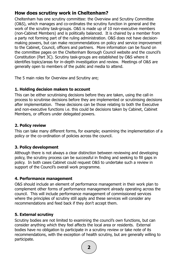## **How does scrutiny work in Cheltenham?**

Cheltenham has one scrutiny committee: the Overview and Scrutiny Committee (O&S), which manages and co-ordinates the scrutiny function in general and the work of the scrutiny task-groups. O&S is made up of 10 non-executive members (non-Cabinet Members) and is politically balanced. It is chaired by a member from a party not forming part of the ruling administration. O&S does not have decisionmaking powers, but can make recommendations on policy and service improvement to the Cabinet, Council, officers and partners. More information can be found on the committee pages on the Cheltenham Borough Council website and the council's Constitution (Part 3C). Scrutiny task-groups are established by O&S where it identifies topics/areas for in-depth investigation and review. Meetings of O&S are generally open to members of the public and media to attend.

The 5 main roles for Overview and Scrutiny are;

#### **1. Holding decision makers to account**

This can be either scrutinising decisions before they are taken, using the call-in process to scrutinise decisions before they are implemented or scrutinising decisions after implementation. These decisions can be those relating to both the Executive and non-executive functions i.e. this could be decisions taken by Cabinet, Cabinet Members, or officers under delegated powers.

#### **2. Policy review**

This can take many different forms, for example; examining the implementation of a policy or the co-ordination of policies across the council.

#### **3. Policy development**

Although there is not always a clear distinction between reviewing and developing policy, the scrutiny process can be successful in finding and seeking to fill gaps in policy. In both cases Cabinet could request O&S to undertake such a review in support of the Council's overall work programme.

#### **4. Performance management**

O&S should include an element of performance management in their work plan to complement other forms of performance management already operating across the council. This will include performance management of commissioned services where the principles of scrutiny still apply and these services will consider any recommendations and feed back if they don't accept them.

#### **5. External scrutiny**

Scrutiny bodies are not limited to examining the council's own functions, but can consider anything which they feel affects the local area or residents. External bodies have no obligation to participate in a scrutiny review or take note of its recommendations, with the exception of health scrutiny, but are generally willing to participate.

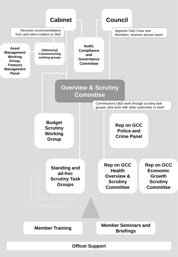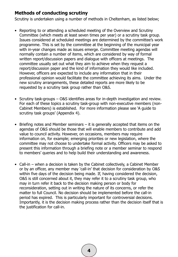## **Methods of conducting scrutiny**

Scrutiny is undertaken using a number of methods in Cheltenham, as listed below;

- Reporting to or attending a scheduled meeting of the Overview and Scrutiny Committee (which meets at least seven times per year) or a scrutiny task group. Issues considered at scheduled meetings are determined by the committee's work programme. This is set by the committee at the beginning of the municipal year with in-year changes made as issues emerge. Committee meeting agendas will normally contain a number of items, which are considered by way of formal written report/discussion papers and dialogue with officers at meetings. The committee usually set out what they aim to achieve when they request a report/discussion paper and the kind of information they would like included. However, officers are expected to include any information that in their professional opinion would facilitate the committee achieving its aims. Under the new scrutiny arrangements, these detailed reports are more likely to be requested by a scrutiny task group rather than O&S.
- Scrutiny task-groups O&S identifies areas for in-depth investigation and review. For each of these topics a scrutiny task-group with non-executive members (non-Cabinet Members) is established. For more information please see 'A guide to scrutiny task groups' (Appendix 4).
- Briefing notes and Member seminars it is generally accepted that items on the agendas of O&S should be those that will enable members to contribute and add value to council activity. However, on occasions, members may require information on, for example; emerging priorities or new legislation, where the committee may not choose to undertake formal activity. Officers may be asked to present this information through a briefing note or a member seminar to respond to members' queries and to help build their understanding and awareness.
- Call-in when a decision is taken by the Cabinet collectively, a Cabinet Member or by an officer, any member may 'call-in' that decision for consideration by O&S within five days of the decision being made. If, having considered the decision, O&S is still concerned about it, they may refer it to a scrutiny task group, who may in turn refer it back to the decision making person or body for reconsideration, setting out in writing the nature of its concerns, or refer the matter to full Council. No decision should be implemented before the call-in period has expired. This is particularly important for controversial decisions. Importantly, it is the decision making process rather than the decision itself that is the justification for call-in.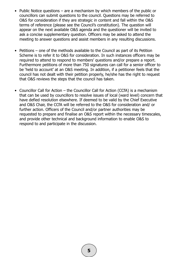- Public Notice questions are a mechanism by which members of the public or councillors can submit questions to the council. Questions may be referred to O&S for consideration if they are strategic in content and fall within the O&S terms of reference (please see the Council's constitution). The question will appear on the next available O&S agenda and the questioner will be invited to ask a concise supplementary question. Officers may be asked to attend the meeting to answer questions and assist members in any resulting discussions.
- Petitions one of the methods available to the Council as part of its Petition Scheme is to refer it to O&S for consideration. In such instances officers may be required to attend to respond to members' questions and/or prepare a report. Furthermore petitions of more than 750 signatures can call for a senior officer to be 'held to account' at an O&S meeting. In addition, if a petitioner feels that the council has not dealt with their petition properly, he/she has the right to request that O&S reviews the steps that the council has taken.
- Councillor Call for Action the Councillor Call for Action (CCfA) is a mechanism that can be used by councillors to resolve issues of local (ward level) concern that have defied resolution elsewhere. If deemed to be valid by the Chief Executive and O&S Chair, the CCfA will be referred to the O&S for consideration and/ or further action. Officers of the Council and/or partner authorities may be requested to prepare and finalise an O&S report within the necessary timescales, and provide other technical and background information to enable O&S to respond to and participate in the discussion.